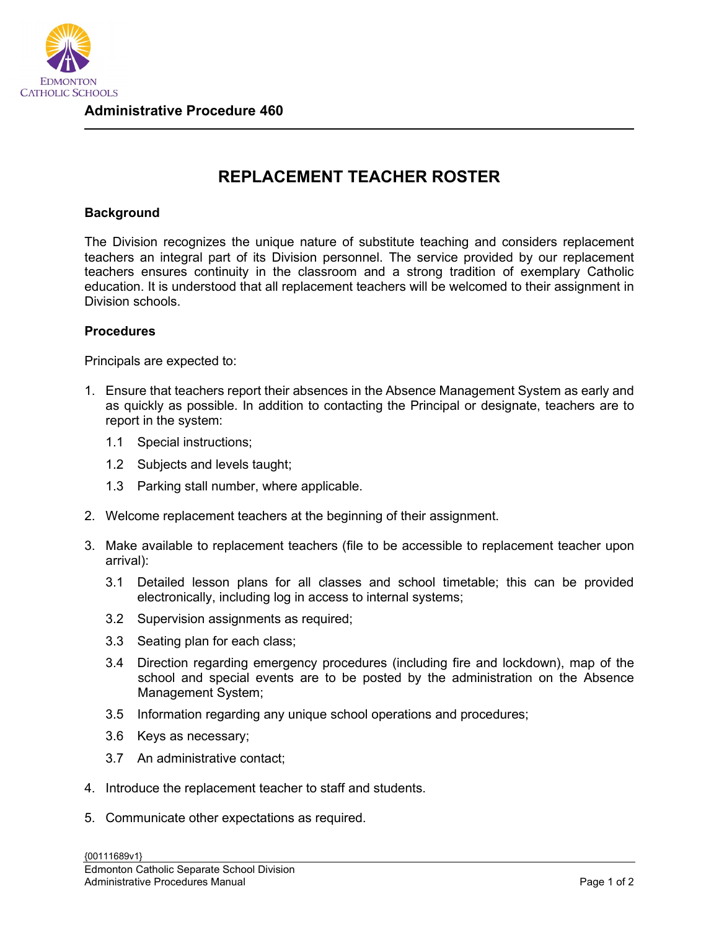

## **REPLACEMENT TEACHER ROSTER**

## **Background**

The Division recognizes the unique nature of substitute teaching and considers replacement teachers an integral part of its Division personnel. The service provided by our replacement teachers ensures continuity in the classroom and a strong tradition of exemplary Catholic education. It is understood that all replacement teachers will be welcomed to their assignment in Division schools.

## **Procedures**

Principals are expected to:

- 1. Ensure that teachers report their absences in the Absence Management System as early and as quickly as possible. In addition to contacting the Principal or designate, teachers are to report in the system:
	- 1.1 Special instructions;
	- 1.2 Subjects and levels taught;
	- 1.3 Parking stall number, where applicable.
- 2. Welcome replacement teachers at the beginning of their assignment.
- 3. Make available to replacement teachers (file to be accessible to replacement teacher upon arrival):
	- 3.1 Detailed lesson plans for all classes and school timetable; this can be provided electronically, including log in access to internal systems;
	- 3.2 Supervision assignments as required;
	- 3.3 Seating plan for each class;
	- 3.4 Direction regarding emergency procedures (including fire and lockdown), map of the school and special events are to be posted by the administration on the Absence Management System;
	- 3.5 Information regarding any unique school operations and procedures;
	- 3.6 Keys as necessary;
	- 3.7 An administrative contact;
- 4. Introduce the replacement teacher to staff and students.
- 5. Communicate other expectations as required.